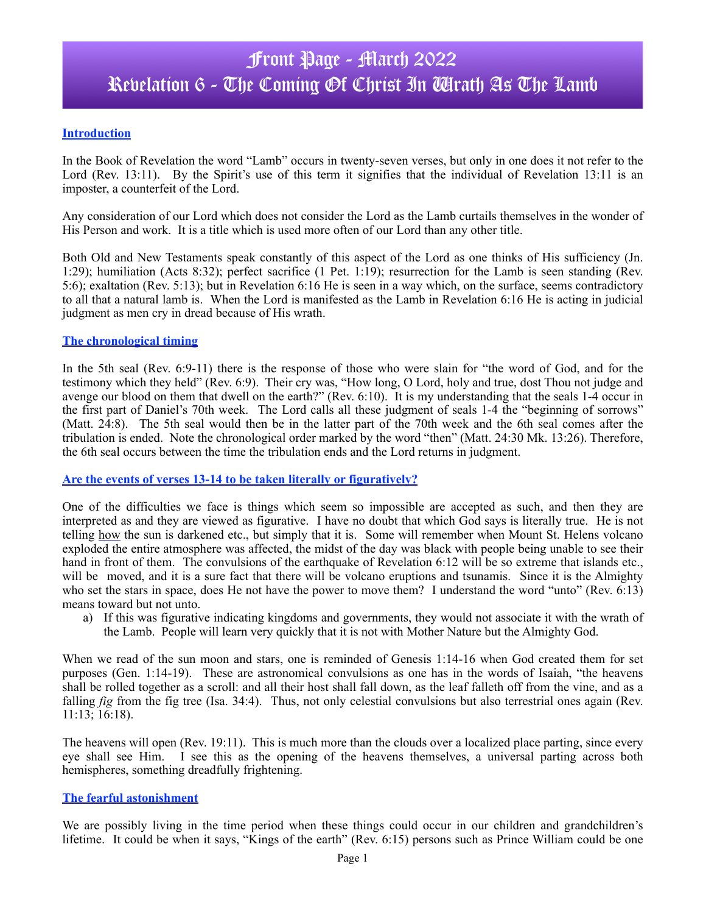# Front Page - March 2022 Revelation 6 - The Coming Of Christ In Wrath As The Lamb

## **Introduction**

In the Book of Revelation the word "Lamb" occurs in twenty-seven verses, but only in one does it not refer to the Lord (Rev. 13:11). By the Spirit's use of this term it signifies that the individual of Revelation 13:11 is an imposter, a counterfeit of the Lord.

Any consideration of our Lord which does not consider the Lord as the Lamb curtails themselves in the wonder of His Person and work. It is a title which is used more often of our Lord than any other title.

Both Old and New Testaments speak constantly of this aspect of the Lord as one thinks of His sufficiency (Jn. 1:29); humiliation (Acts 8:32); perfect sacrifice (1 Pet. 1:19); resurrection for the Lamb is seen standing (Rev. 5:6); exaltation (Rev. 5:13); but in Revelation 6:16 He is seen in a way which, on the surface, seems contradictory to all that a natural lamb is. When the Lord is manifested as the Lamb in Revelation 6:16 He is acting in judicial judgment as men cry in dread because of His wrath.

#### **The chronological timing**

In the 5th seal (Rev. 6:9-11) there is the response of those who were slain for "the word of God, and for the testimony which they held" (Rev. 6:9). Their cry was, "How long, O Lord, holy and true, dost Thou not judge and avenge our blood on them that dwell on the earth?" (Rev. 6:10). It is my understanding that the seals 1-4 occur in the first part of Daniel's 70th week. The Lord calls all these judgment of seals 1-4 the "beginning of sorrows" (Matt. 24:8). The 5th seal would then be in the latter part of the 70th week and the 6th seal comes after the tribulation is ended. Note the chronological order marked by the word "then" (Matt. 24:30 Mk. 13:26). Therefore, the 6th seal occurs between the time the tribulation ends and the Lord returns in judgment.

#### **Are the events of verses 13-14 to be taken literally or figuratively?**

One of the difficulties we face is things which seem so impossible are accepted as such, and then they are interpreted as and they are viewed as figurative. I have no doubt that which God says is literally true. He is not telling how the sun is darkened etc., but simply that it is. Some will remember when Mount St. Helens volcano exploded the entire atmosphere was affected, the midst of the day was black with people being unable to see their hand in front of them. The convulsions of the earthquake of Revelation 6:12 will be so extreme that islands etc., will be moved, and it is a sure fact that there will be volcano eruptions and tsunamis. Since it is the Almighty who set the stars in space, does He not have the power to move them? I understand the word "unto" (Rev. 6:13) means toward but not unto.

a) If this was figurative indicating kingdoms and governments, they would not associate it with the wrath of the Lamb. People will learn very quickly that it is not with Mother Nature but the Almighty God.

When we read of the sun moon and stars, one is reminded of Genesis 1:14-16 when God created them for set purposes (Gen. 1:14-19). These are astronomical convulsions as one has in the words of Isaiah, "the heavens shall be rolled together as a scroll: and all their host shall fall down, as the leaf falleth off from the vine, and as a falling *fig* from the fig tree (Isa. 34:4). Thus, not only celestial convulsions but also terrestrial ones again (Rev. 11:13; 16:18).

The heavens will open (Rev. 19:11). This is much more than the clouds over a localized place parting, since every eye shall see Him. I see this as the opening of the heavens themselves, a universal parting across both hemispheres, something dreadfully frightening.

#### **The fearful astonishment**

We are possibly living in the time period when these things could occur in our children and grandchildren's lifetime. It could be when it says, "Kings of the earth" (Rev. 6:15) persons such as Prince William could be one